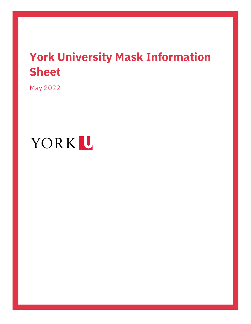# **York University Mask Information Sheet**

May 2022

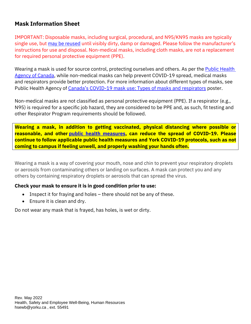## **Mask Information Sheet**

IMPORTANT: Disposable masks, including surgical, procedural, and N95/KN95 masks are typically single use, but [may be reused](https://www.canada.ca/en/public-health/services/publications/diseases-conditions/types-masks-respirators.html) until visibly dirty, damp or damaged. Please follow the manufacturer's instructions for use and disposal. Non-medical masks, including cloth masks, are not a replacement for required personal protective equipment (PPE).

Wearing a mask is used for source control, protecting ourselves and others. As per the **Public Health** [Agency of Canada,](https://www.canada.ca/en/public-health/services/diseases/2019-novel-coronavirus-infection/prevention-risks/about-non-medical-masks-face-coverings.html) while non-medical masks can help prevent COVID-19 spread, medical masks and respirators provide better protection. For more information about different types of masks, see Public Health Agency of Canada's COVID[-19 mask use: Types of masks and respirators](https://www.canada.ca/en/public-health/services/publications/diseases-conditions/types-masks-respirators.html) poster.

Non-medical masks are not classified as personal protective equipment (PPE). If a respirator (e.g., N95) is required for a specific job hazard, they are considered to be PPE and, as such, fit testing and other Respirator Program requirements should be followed.

**Wearing a mask, in addition to getting vaccinated, physical distancing where possible or reasonable, and other [public health measures,](https://www.toronto.ca/home/covid-19/covid-19-reduce-virus-spread/) can reduce the spread of COVID-19. Please continue to follow applicable public health measures and York COVID-19 protocols, such as not coming to campus if feeling unwell, and properly washing your hands often.**

Wearing a mask is a way of covering your mouth, nose and chin to prevent your respiratory droplets or aerosols from contaminating others or landing on surfaces. A mask can protect you and any others by containing respiratory droplets or aerosols that can spread the virus.

#### **Check your mask to ensure it is in good condition prior to use:**

- Inspect it for fraying and holes there should not be any of these.
- Ensure it is clean and dry.

Do not wear any mask that is frayed, has holes, is wet or dirty.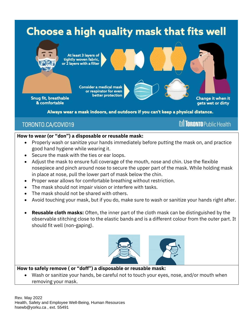

Always wear a mask indoors, and outdoors if you can't keep a physical distance.

**M** TORONTO Public Health

# TORONTO.CA/COVID19

### **How to wear (or "don") a disposable or reusable mask:**

- Properly wash or sanitize your hands immediately before putting the mask on, and practice good hand hygiene while wearing it.
- Secure the mask with the ties or ear loops.
- Adjust the mask to ensure full coverage of the mouth, nose and chin. Use the flexible nosepiece and pinch around nose to secure the upper part of the mask. While holding mask in place at nose, pull the lower part of mask below the chin.
- Proper wear allows for comfortable breathing without restriction.
- The mask should not impair vision or interfere with tasks.
- The mask should not be shared with others.
- Avoid touching your mask, but if you do, make sure to wash or sanitize your hands right after.
- **Reusable cloth masks:** Often, the inner part of the cloth mask can be distinguished by the observable stitching close to the elastic bands and is a different colour from the outer part. It should fit well (non-gaping).



#### **How to safely remove ( or "doff") a disposable or reusable mask:**

Wash or sanitize your hands, be careful not to touch your eyes, nose, and/or mouth when removing your mask.